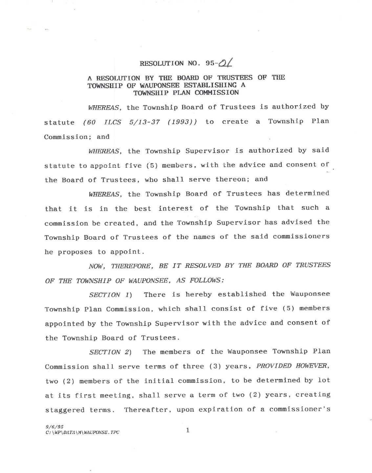## RESOLUTION NO. 95- $\frac{\partial}{\partial}$

## A RESOLUTION BY THE BOARD OF TRUSTEES OF THE TOWNSHIP OF WAUPONSEE ESTABLISHING A TOWNSHIP PLAN COMMISSION

*WHEREAS,* the Township Board of Trustees is authorized by statute (60 *ILCS 5/13 -37 (1993))* to create a Township Plan Commission; and

*WHEREAS,* the Township Supervisor is authorized by said statute to appoint five (5) members, with the advice and consent of the Board of Trustees, who shall serve thereon; and

*WHEREAS,* the Township Board of Trustees has determined that it is in the best interest of the Township that such a commission be created, and the Township Supervisor has advised the Township Board of Trustees of the names of the said commissioners he proposes to appoint.

*NOW, THEREFORE, BE IT RESOLVED BY THE BOARD OF TRUSTEES OF THE TOWNSHIP OF WAUPONSEE, AS FOLLOWS:* 

*SECTION 1)* There is hereby established the Wauponsee Township Plan Commission, which shall consist of five (5) members appointed by the Township Supervisor with the advice and consent of the Township Board of Trustees.

*SECTION 2)* The members of the Wauponsee Township Plan Commission shall serve terms of three (3) years, *PROVIDED HOWEVER,*  two (2) members of the initial commission, to be determined by lot at its first meeting, shall serve a term of two (2) years, creating staggered terms. Thereafter, upon expiration of a commissioner's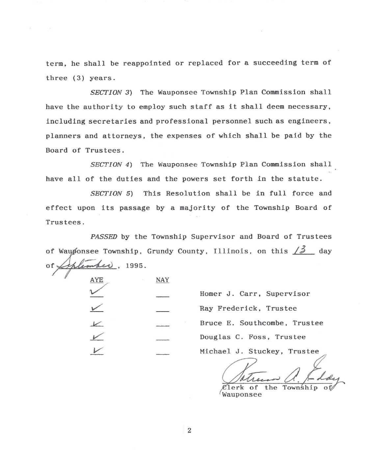term, he shall be reappointed or replaced for a succeeding term of three (3) years.

*SECTION 3)* The Wauponsee Township Plan Commission shall have the authority to employ such staff as it shall deem necessary, including secretaries and professional personnel such as engineers, planners and attorneys, the expenses of which shall be paid by the Board of Trustees.

*SECTION 4)* The Wauponsee Township Plan Commission shall have all of the duties and the powers set forth in the statute.

*SECTION* 5) This Resolution shall be in full force and effect upon its passage by a majority of the Township Board of Trustees.

of, PASSED by the Township Supervisor and Board of Trustees of Waugonsee Township, Grundy County, Illinois, on this  $\angle 3$  day , 1995.

| AYE | NAY<br>×            |
|-----|---------------------|
|     |                     |
|     |                     |
|     | ×                   |
|     | ÷                   |
|     | <b>MAYOR CARPER</b> |

Homer J. Carr, Supervisor Ray Frederick, Trustee Bruce E. Southcombe, Trustee Douglas C. Foss, Trustee Michael J. Stuckey, Trustee

Zlerk of the Township Wauponsee

2